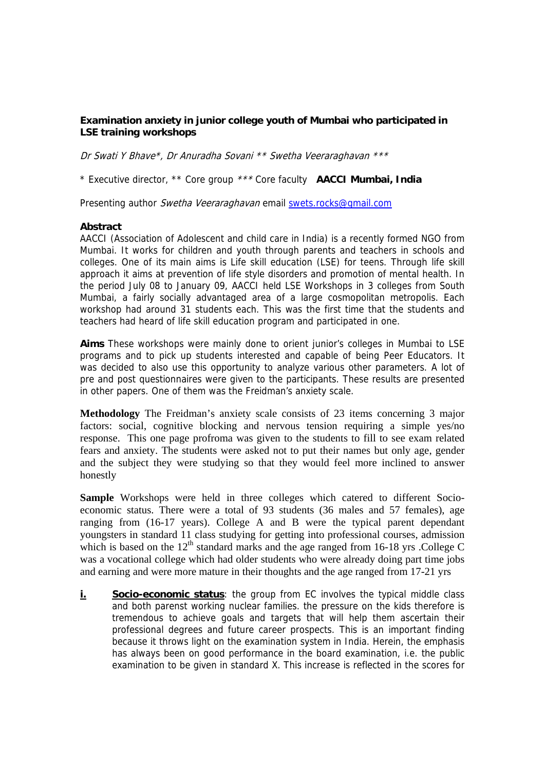## **Examination anxiety in junior college youth of Mumbai who participated in LSE training workshops**

Dr Swati Y Bhave\*, Dr Anuradha Sovani \*\* Swetha Veeraraghavan \*\*\*

\* Executive director, \*\* Core group \*\*\* Core faculty **AACCI Mumbai, India** 

Presenting author Swetha Veeraraghavan email swets.rocks@gmail.com

## **Abstract**

AACCI (Association of Adolescent and child care in India) is a recently formed NGO from Mumbai. It works for children and youth through parents and teachers in schools and colleges. One of its main aims is Life skill education (LSE) for teens. Through life skill approach it aims at prevention of life style disorders and promotion of mental health. In the period July 08 to January 09, AACCI held LSE Workshops in 3 colleges from South Mumbai, a fairly socially advantaged area of a large cosmopolitan metropolis. Each workshop had around 31 students each. This was the first time that the students and teachers had heard of life skill education program and participated in one.

**Aims** These workshops were mainly done to orient junior's colleges in Mumbai to LSE programs and to pick up students interested and capable of being Peer Educators. It was decided to also use this opportunity to analyze various other parameters. A lot of pre and post questionnaires were given to the participants. These results are presented in other papers. One of them was the Freidman's anxiety scale.

**Methodology** The Freidman's anxiety scale consists of 23 items concerning 3 major factors: social, cognitive blocking and nervous tension requiring a simple yes/no response. This one page profroma was given to the students to fill to see exam related fears and anxiety. The students were asked not to put their names but only age, gender and the subject they were studying so that they would feel more inclined to answer honestly

**Sample** Workshops were held in three colleges which catered to different Socioeconomic status. There were a total of 93 students (36 males and 57 females), age ranging from (16-17 years). College A and B were the typical parent dependant youngsters in standard 11 class studying for getting into professional courses, admission which is based on the  $12<sup>th</sup>$  standard marks and the age ranged from 16-18 yrs .College C was a vocational college which had older students who were already doing part time jobs and earning and were more mature in their thoughts and the age ranged from 17-21 yrs

**i. Socio-economic status**: the group from EC involves the typical middle class and both parenst working nuclear families. the pressure on the kids therefore is tremendous to achieve goals and targets that will help them ascertain their professional degrees and future career prospects. This is an important finding because it throws light on the examination system in India. Herein, the emphasis has always been on good performance in the board examination, i.e. the public examination to be given in standard X. This increase is reflected in the scores for